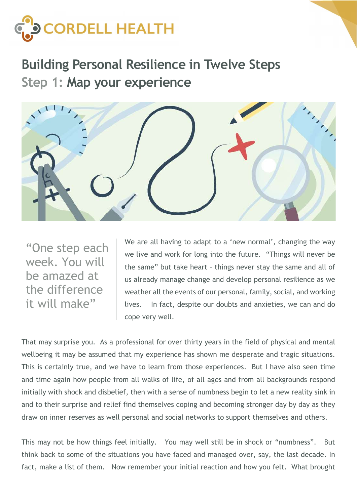

Building Personal Resilience in Twelve Steps Step 1: Map your experience



"One step each week. You will be amazed at the difference it will make"

We are all having to adapt to a 'new normal', changing the way we live and work for long into the future. "Things will never be the same" but take heart – things never stay the same and all of us already manage change and develop personal resilience as we weather all the events of our personal, family, social, and working lives. In fact, despite our doubts and anxieties, we can and do cope very well.

That may surprise you. As a professional for over thirty years in the field of physical and mental wellbeing it may be assumed that my experience has shown me desperate and tragic situations. This is certainly true, and we have to learn from those experiences. But I have also seen time and time again how people from all walks of life, of all ages and from all backgrounds respond initially with shock and disbelief, then with a sense of numbness begin to let a new reality sink in and to their surprise and relief find themselves coping and becoming stronger day by day as they draw on inner reserves as well personal and social networks to support themselves and others.

This may not be how things feel initially. You may well still be in shock or "numbness". But think back to some of the situations you have faced and managed over, say, the last decade. In fact, make a list of them. Now remember your initial reaction and how you felt. What brought